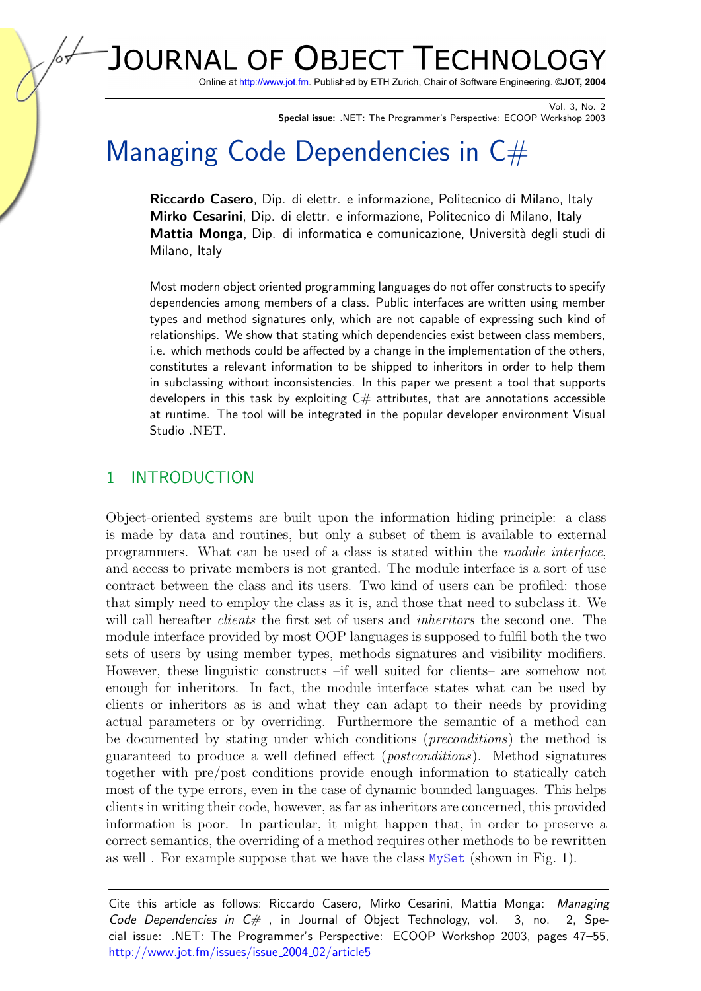JOURNAL OF OBJECT TECHNOLO

Online at http://www.jot.fm. Published by ETH Zurich, Chair of Software Engineering. @JOT, 2004

Vol. 3, No. 2 Special issue: .NET: The Programmer's Perspective: ECOOP Workshop 2003

# Managing Code Dependencies in  $C#$

Riccardo Casero, Dip. di elettr. e informazione, Politecnico di Milano, Italy Mirko Cesarini, Dip. di elettr. e informazione, Politecnico di Milano, Italy Mattia Monga, Dip. di informatica e comunicazione, Università degli studi di Milano, Italy

Most modern object oriented programming languages do not offer constructs to specify dependencies among members of a class. Public interfaces are written using member types and method signatures only, which are not capable of expressing such kind of relationships. We show that stating which dependencies exist between class members, i.e. which methods could be affected by a change in the implementation of the others, constitutes a relevant information to be shipped to inheritors in order to help them in subclassing without inconsistencies. In this paper we present a tool that supports developers in this task by exploiting  $C#$  attributes, that are annotations accessible at runtime. The tool will be integrated in the popular developer environment Visual Studio .NET.

### 1 INTRODUCTION

Object-oriented systems are built upon the information hiding principle: a class is made by data and routines, but only a subset of them is available to external programmers. What can be used of a class is stated within the module interface, and access to private members is not granted. The module interface is a sort of use contract between the class and its users. Two kind of users can be profiled: those that simply need to employ the class as it is, and those that need to subclass it. We will call hereafter *clients* the first set of users and *inheritors* the second one. The module interface provided by most OOP languages is supposed to fulfil both the two sets of users by using member types, methods signatures and visibility modifiers. However, these linguistic constructs –if well suited for clients– are somehow not enough for inheritors. In fact, the module interface states what can be used by clients or inheritors as is and what they can adapt to their needs by providing actual parameters or by overriding. Furthermore the semantic of a method can be documented by stating under which conditions (preconditions) the method is guaranteed to produce a well defined effect (postconditions). Method signatures together with pre/post conditions provide enough information to statically catch most of the type errors, even in the case of dynamic bounded languages. This helps clients in writing their code, however, as far as inheritors are concerned, this provided information is poor. In particular, it might happen that, in order to preserve a correct semantics, the overriding of a method requires other methods to be rewritten as well. For example suppose that we have the class  $MySet$  (shown in Fig. [1\)](#page-1-0).

Cite this article as follows: Riccardo Casero, Mirko Cesarini, Mattia Monga: Managing Code Dependencies in  $C\#$ , in Journal of Object Technology, vol. 3, no. 2, Special issue: .NET: The Programmer's Perspective: ECOOP Workshop 2003, pages 47–55, [http://www.jot.fm/issues/issue](http://www.jot.fm/issues/issue_2004_02/article5)\_2004\_02/article5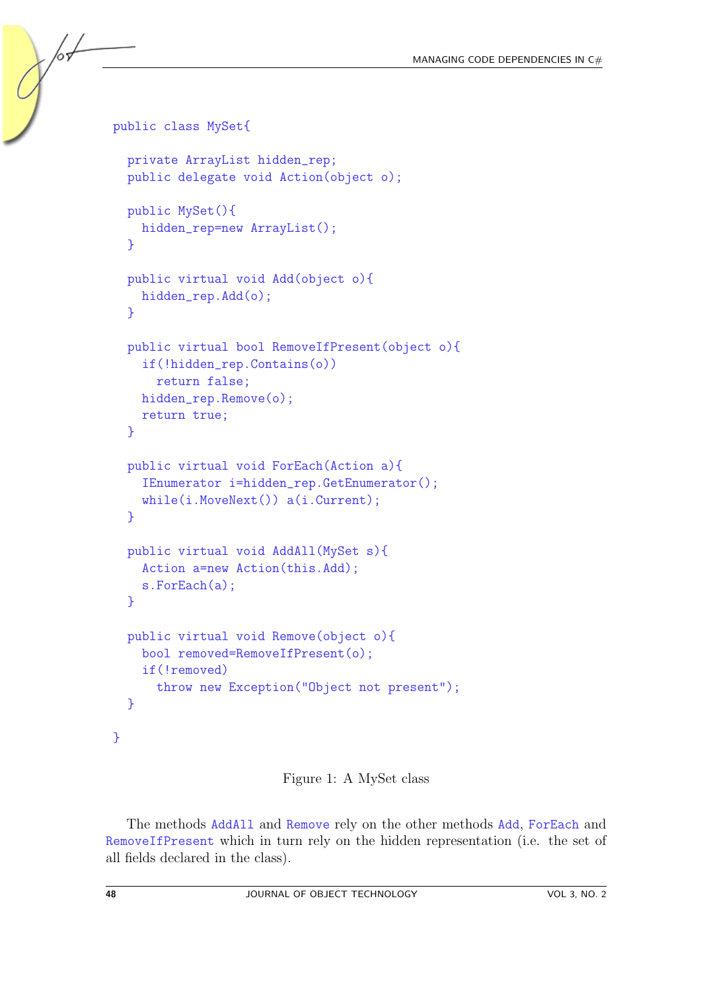```
public class MySet{
  private ArrayList hidden_rep;
  public delegate void Action(object o);
  public MySet(){
    hidden_rep=new ArrayList();
  }
  public virtual void Add(object o){
    hidden_rep.Add(o);
  }
  public virtual bool RemoveIfPresent(object o){
    if(!hidden_rep.Contains(o))
      return false;
    hidden_rep.Remove(o);
    return true;
  }
  public virtual void ForEach(Action a){
    IEnumerator i=hidden_rep.GetEnumerator();
    while(i.MoveNext()) a(i.Current);
  }
  public virtual void AddAll(MySet s){
    Action a=new Action(this.Add);
    s.ForEach(a);
  }
  public virtual void Remove(object o){
    bool removed=RemoveIfPresent(o);
    if(!removed)
      throw new Exception("Object not present");
  }
}
```
<span id="page-1-0"></span>Figure 1: A MySet class

The methods AddAll and Remove rely on the other methods Add, ForEach and RemoveIfPresent which in turn rely on the hidden representation (i.e. the set of all fields declared in the class).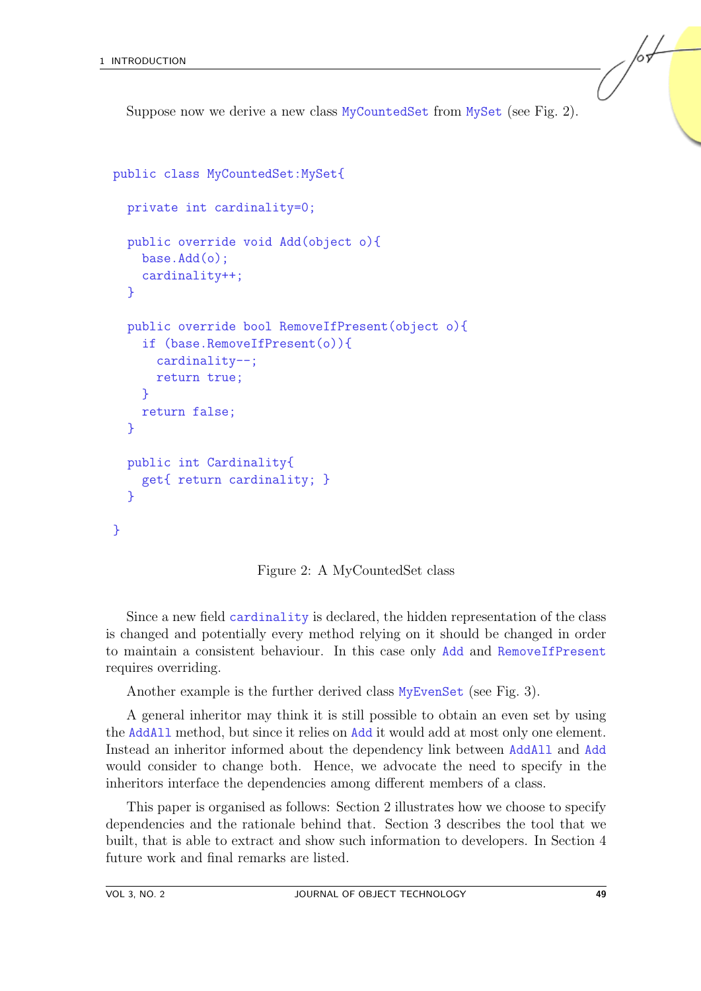Suppose now we derive a new class MyCountedSet from MySet (see Fig. [2\)](#page-2-0).

```
public class MyCountedSet:MySet{
  private int cardinality=0;
  public override void Add(object o){
    base.Add(o);
    cardinality++;
  }
  public override bool RemoveIfPresent(object o){
    if (base.RemoveIfPresent(o)){
      cardinality--;
      return true;
    }
    return false;
  }
  public int Cardinality{
    get{ return cardinality; }
  }
}
```
<span id="page-2-0"></span>Figure 2: A MyCountedSet class

Since a new field cardinality is declared, the hidden representation of the class is changed and potentially every method relying on it should be changed in order to maintain a consistent behaviour. In this case only Add and RemoveIfPresent requires overriding.

Another example is the further derived class MyEvenSet (see Fig. [3\)](#page-3-0).

A general inheritor may think it is still possible to obtain an even set by using the AddAll method, but since it relies on Add it would add at most only one element. Instead an inheritor informed about the dependency link between AddAll and Add would consider to change both. Hence, we advocate the need to specify in the inheritors interface the dependencies among different members of a class.

This paper is organised as follows: Section 2 illustrates how we choose to specify dependencies and the rationale behind that. Section 3 describes the tool that we built, that is able to extract and show such information to developers. In Section 4 future work and final remarks are listed.

/or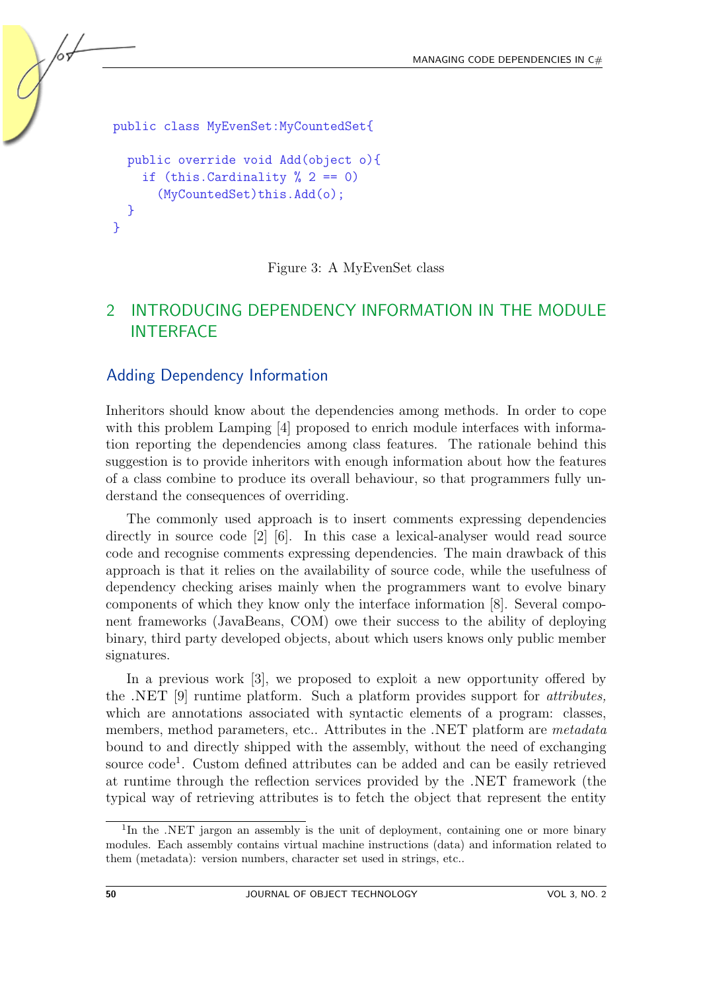```
public class MyEvenSet:MyCountedSet{
  public override void Add(object o){
    if (this.Cardinality \frac{9}{2} == 0)
      (MyCountedSet)this.Add(o);
  }
}
```
#### <span id="page-3-0"></span>Figure 3: A MyEvenSet class

## 2 INTRODUCING DEPENDENCY INFORMATION IN THE MODULE **INTERFACE**

#### Adding Dependency Information

Inheritors should know about the dependencies among methods. In order to cope with this problem Lamping [\[4\]](#page-8-0) proposed to enrich module interfaces with information reporting the dependencies among class features. The rationale behind this suggestion is to provide inheritors with enough information about how the features of a class combine to produce its overall behaviour, so that programmers fully understand the consequences of overriding.

The commonly used approach is to insert comments expressing dependencies directly in source code [\[2\]](#page-7-0) [\[6\]](#page-8-1). In this case a lexical-analyser would read source code and recognise comments expressing dependencies. The main drawback of this approach is that it relies on the availability of source code, while the usefulness of dependency checking arises mainly when the programmers want to evolve binary components of which they know only the interface information [\[8\]](#page-8-2). Several component frameworks (JavaBeans, COM) owe their success to the ability of deploying binary, third party developed objects, about which users knows only public member signatures.

In a previous work [\[3\]](#page-8-3), we proposed to exploit a new opportunity offered by the .NET [\[9\]](#page-8-4) runtime platform. Such a platform provides support for attributes, which are annotations associated with syntactic elements of a program: classes, members, method parameters, etc.. Attributes in the .NET platform are metadata bound to and directly shipped with the assembly, without the need of exchanging source code<sup>[1](#page-3-1)</sup>. Custom defined attributes can be added and can be easily retrieved at runtime through the reflection services provided by the .NET framework (the typical way of retrieving attributes is to fetch the object that represent the entity

<span id="page-3-1"></span><sup>&</sup>lt;sup>1</sup>In the .NET jargon an assembly is the unit of deployment, containing one or more binary modules. Each assembly contains virtual machine instructions (data) and information related to them (metadata): version numbers, character set used in strings, etc..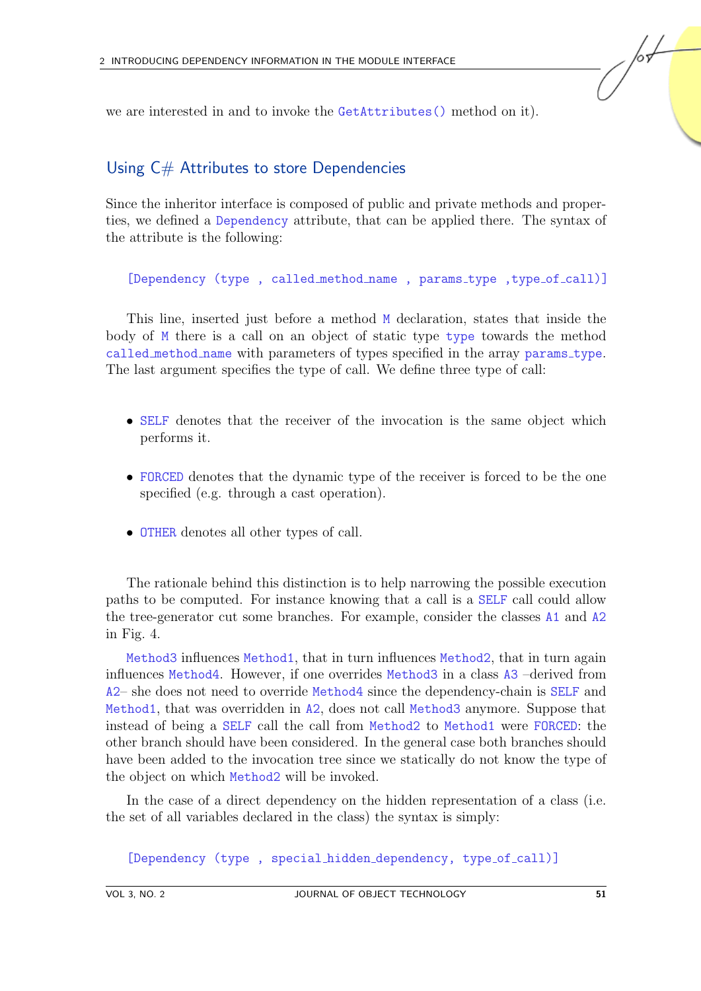we are interested in and to invoke the GetAttributes() method on it).

#### Using C# Attributes to store Dependencies

Since the inheritor interface is composed of public and private methods and properties, we defined a Dependency attribute, that can be applied there. The syntax of the attribute is the following:

[Dependency (type, called method name, params\_type, type\_of\_call)]

This line, inserted just before a method M declaration, states that inside the body of  $M$  there is a call on an object of static type type towards the method called method name with parameters of types specified in the array params type. The last argument specifies the type of call. We define three type of call:

- SELF denotes that the receiver of the invocation is the same object which performs it.
- FORCED denotes that the dynamic type of the receiver is forced to be the one specified (e.g. through a cast operation).
- OTHER denotes all other types of call.

The rationale behind this distinction is to help narrowing the possible execution paths to be computed. For instance knowing that a call is a SELF call could allow the tree-generator cut some branches. For example, consider the classes A1 and A2 in Fig. [4.](#page-5-0)

Method3 influences Method1, that in turn influences Method2, that in turn again influences Method4. However, if one overrides Method3 in a class A3 –derived from A2– she does not need to override Method4 since the dependency-chain is SELF and Method1, that was overridden in A2, does not call Method3 anymore. Suppose that instead of being a SELF call the call from Method2 to Method1 were FORCED: the other branch should have been considered. In the general case both branches should have been added to the invocation tree since we statically do not know the type of the object on which Method2 will be invoked.

In the case of a direct dependency on the hidden representation of a class (i.e. the set of all variables declared in the class) the syntax is simply:

[Dependency (type, special hidden dependency, type of call)]

/or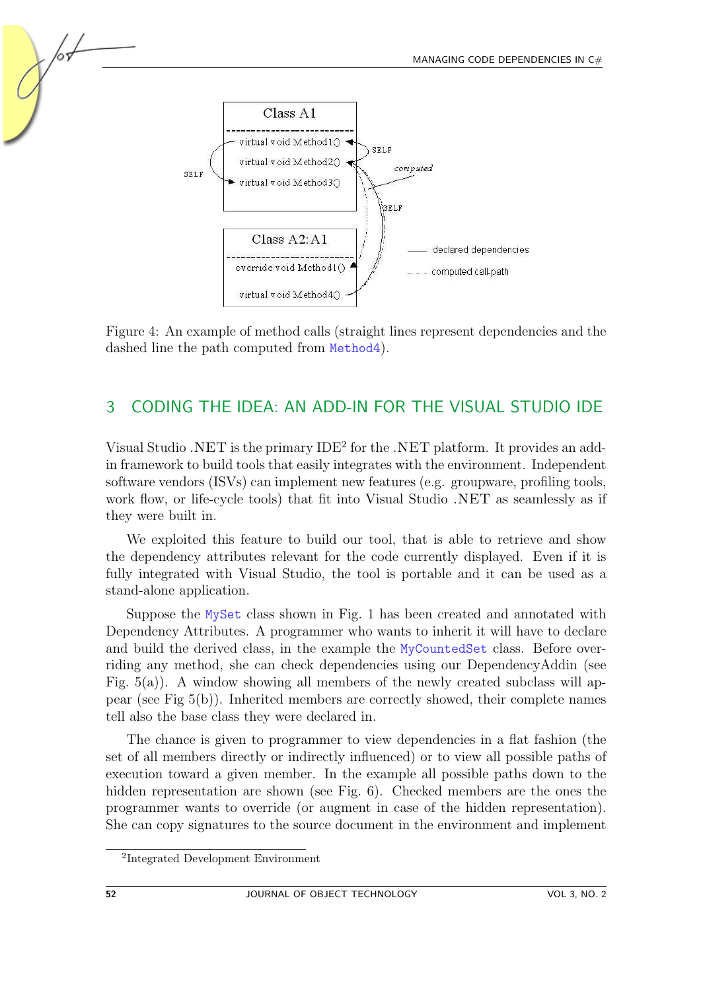

<span id="page-5-0"></span>Figure 4: An example of method calls (straight lines represent dependencies and the dashed line the path computed from Method4).

## 3 CODING THE IDEA: AN ADD-IN FOR THE VISUAL STUDIO IDE

Visual Studio .NET is the primary IDE<sup>[2](#page-5-1)</sup> for the .NET platform. It provides an addin framework to build tools that easily integrates with the environment. Independent software vendors (ISVs) can implement new features (e.g. groupware, profiling tools, work flow, or life-cycle tools) that fit into Visual Studio .NET as seamlessly as if they were built in.

We exploited this feature to build our tool, that is able to retrieve and show the dependency attributes relevant for the code currently displayed. Even if it is fully integrated with Visual Studio, the tool is portable and it can be used as a stand-alone application.

Suppose the MySet class shown in Fig. [1](#page-1-0) has been created and annotated with Dependency Attributes. A programmer who wants to inherit it will have to declare and build the derived class, in the example the MyCountedSet class. Before overriding any method, she can check dependencies using our DependencyAddin (see Fig.  $5(a)$ ). A window showing all members of the newly created subclass will appear (see Fig [5\(b\)\)](#page-6-1). Inherited members are correctly showed, their complete names tell also the base class they were declared in.

The chance is given to programmer to view dependencies in a flat fashion (the set of all members directly or indirectly influenced) or to view all possible paths of execution toward a given member. In the example all possible paths down to the hidden representation are shown (see Fig. [6\)](#page-6-2). Checked members are the ones the programmer wants to override (or augment in case of the hidden representation). She can copy signatures to the source document in the environment and implement

<span id="page-5-1"></span><sup>2</sup> Integrated Development Environment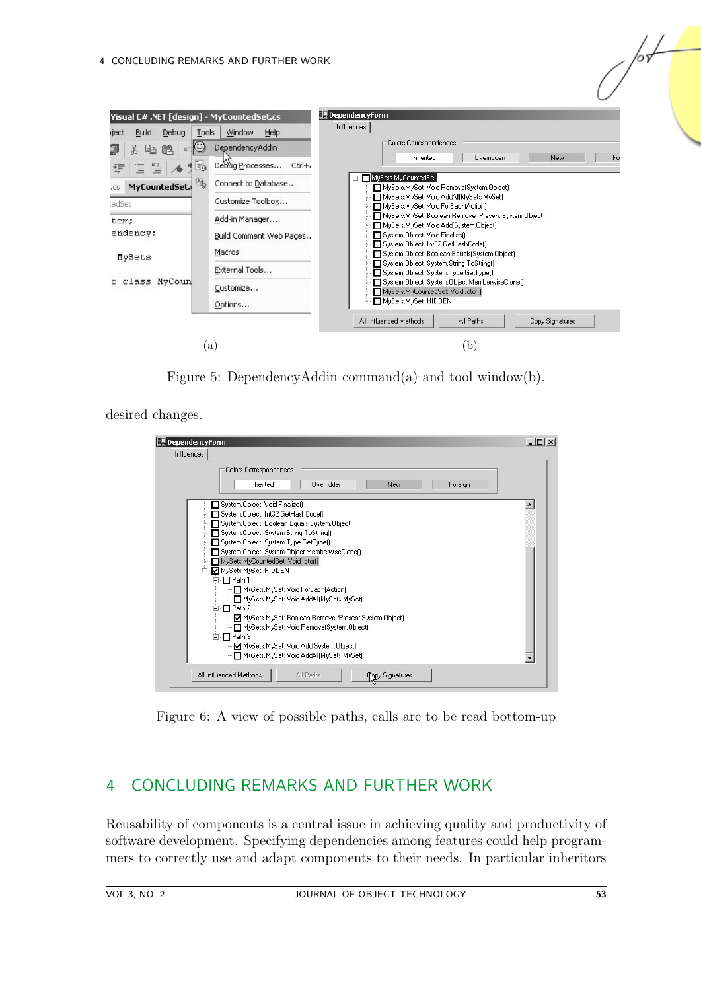

<span id="page-6-1"></span><span id="page-6-0"></span>Figure 5: DependencyAddin command(a) and tool window(b).

desired changes.

| DependencyForm                                                                                                                                                                                                                                                                                                                                                                                                                                                                                                                                                                                                                                         | $ \Box$ $\times$ |
|--------------------------------------------------------------------------------------------------------------------------------------------------------------------------------------------------------------------------------------------------------------------------------------------------------------------------------------------------------------------------------------------------------------------------------------------------------------------------------------------------------------------------------------------------------------------------------------------------------------------------------------------------------|------------------|
| Influences                                                                                                                                                                                                                                                                                                                                                                                                                                                                                                                                                                                                                                             |                  |
| <b>Colors Correspondences</b><br>Inherited<br>Overridden<br>New                                                                                                                                                                                                                                                                                                                                                                                                                                                                                                                                                                                        | Foreign          |
| System.Object: Void Finalize()<br>System.Object: Int32 GetHashCode()<br>System.Object: Boolean Equals(System.Object)<br>System.Object: System.String ToString()<br>System.Object: System.Type GetType()<br>System.Object: System.Object MemberwiseClone()<br>MySets.MyCountedSet: Void.ctor()<br>白 MySets.MySet: HIDDEN<br>⊟-□ Path 1<br>MySets.MySet: Void ForEach(Action)<br>- Π MySets.MySet: Void AddAll(MySets.MySet)<br>⊟-ПPath 2<br>MySets.MySet: Boolean RemovelfPresent(System.Object)<br>MySets.MySet: Void Remove(System.Object)<br>□ <sub>Path</sub> 3<br>MySets.MySet: Void Add(System.Object)<br>MySets.MySet: Void AddAll(MySets.MySet) | $\blacktriangle$ |
| All Influenced Methods<br>All Paths<br><b>Popy Signatures</b>                                                                                                                                                                                                                                                                                                                                                                                                                                                                                                                                                                                          |                  |

<span id="page-6-2"></span>Figure 6: A view of possible paths, calls are to be read bottom-up

## 4 CONCLUDING REMARKS AND FURTHER WORK

Reusability of components is a central issue in achieving quality and productivity of software development. Specifying dependencies among features could help programmers to correctly use and adapt components to their needs. In particular inheritors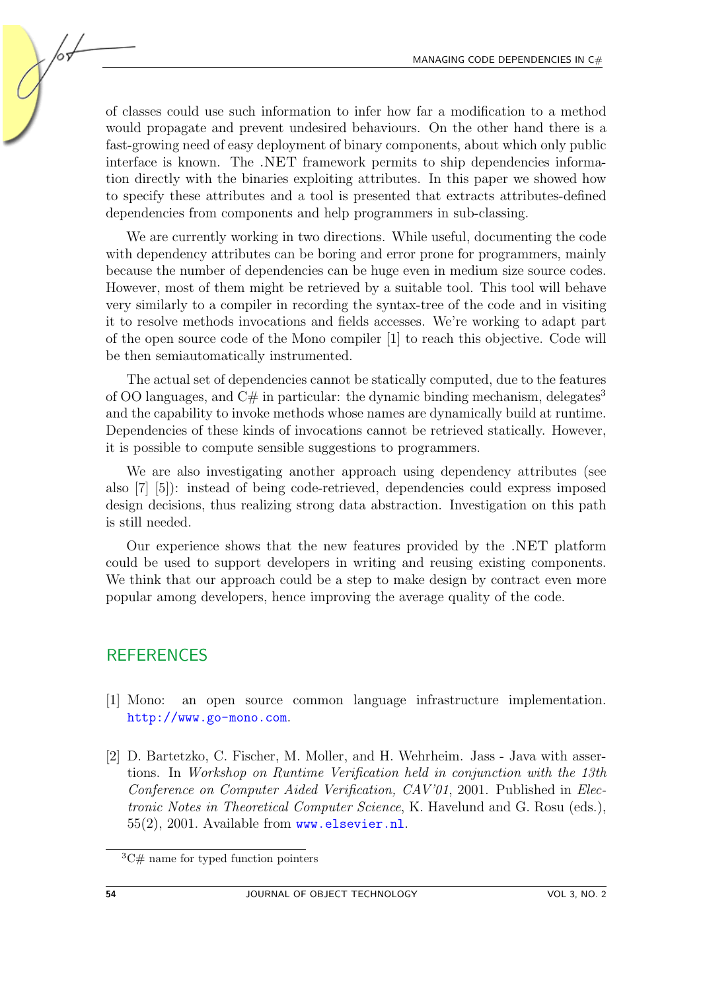of classes could use such information to infer how far a modification to a method would propagate and prevent undesired behaviours. On the other hand there is a fast-growing need of easy deployment of binary components, about which only public interface is known. The .NET framework permits to ship dependencies information directly with the binaries exploiting attributes. In this paper we showed how to specify these attributes and a tool is presented that extracts attributes-defined dependencies from components and help programmers in sub-classing.

We are currently working in two directions. While useful, documenting the code with dependency attributes can be boring and error prone for programmers, mainly because the number of dependencies can be huge even in medium size source codes. However, most of them might be retrieved by a suitable tool. This tool will behave very similarly to a compiler in recording the syntax-tree of the code and in visiting it to resolve methods invocations and fields accesses. We're working to adapt part of the open source code of the Mono compiler [\[1\]](#page-7-1) to reach this objective. Code will be then semiautomatically instrumented.

The actual set of dependencies cannot be statically computed, due to the features of OO languages, and  $C\#$  in particular: the dynamic binding mechanism, delegates<sup>[3](#page-7-2)</sup> and the capability to invoke methods whose names are dynamically build at runtime. Dependencies of these kinds of invocations cannot be retrieved statically. However, it is possible to compute sensible suggestions to programmers.

We are also investigating another approach using dependency attributes (see also [\[7\]](#page-8-5) [\[5\]](#page-8-6)): instead of being code-retrieved, dependencies could express imposed design decisions, thus realizing strong data abstraction. Investigation on this path is still needed.

Our experience shows that the new features provided by the .NET platform could be used to support developers in writing and reusing existing components. We think that our approach could be a step to make design by contract even more popular among developers, hence improving the average quality of the code.

## **REFERENCES**

- <span id="page-7-1"></span>[1] Mono: an open source common language infrastructure implementation. <http://www.go-mono.com>.
- <span id="page-7-0"></span>[2] D. Bartetzko, C. Fischer, M. Moller, and H. Wehrheim. Jass - Java with assertions. In Workshop on Runtime Verification held in conjunction with the 13th Conference on Computer Aided Verification, CAV'01, 2001. Published in Electronic Notes in Theoretical Computer Science, K. Havelund and G. Rosu (eds.), 55(2), 2001. Available from <www.elsevier.nl>.

<span id="page-7-2"></span> ${}^3C\#$  name for typed function pointers